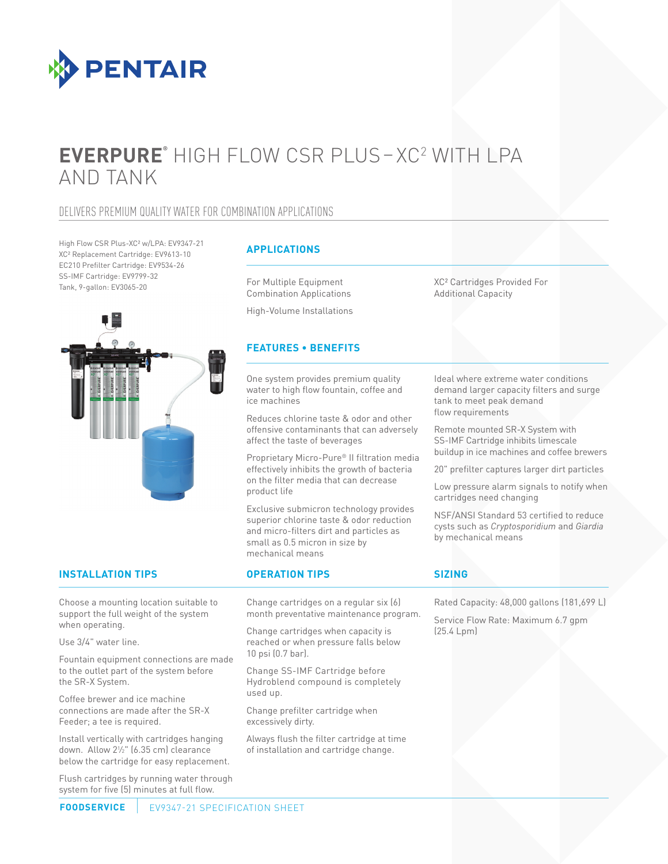

# **EVERPURE®** HIGH FLOW CSR PLUS– XC2 WITH LPA AND TANK

## DELIVERS PREMIUM QUALITY WATER FOR COMBINATION APPLICATIONS

High Flow CSR Plus-XC² w/LPA: EV9347-21 XC² Replacement Cartridge: EV9613-10 EC210 Prefilter Cartridge: EV9534-26 SS-IMF Cartridge: EV9799-32 Tank, 9-gallon: EV3065-20



### **APPLICATIONS**

For Multiple Equipment Combination Applications

High-Volume Installations

### **FEATURES • BENEFITS**

One system provides premium quality water to high flow fountain, coffee and ice machines

Reduces chlorine taste & odor and other offensive contaminants that can adversely affect the taste of beverages

Proprietary Micro-Pure® II filtration media effectively inhibits the growth of bacteria on the filter media that can decrease product life

Exclusive submicron technology provides superior chlorine taste & odor reduction and micro-filters dirt and particles as small as 0.5 micron in size by mechanical means

**INSTALLATION TIPS OPERATION TIPS**

Choose a mounting location suitable to support the full weight of the system when operating.

Use 3/4" water line.

Fountain equipment connections are made to the outlet part of the system before the SR-X System.

Coffee brewer and ice machine connections are made after the SR-X Feeder; a tee is required.

Install vertically with cartridges hanging down. Allow 21 ⁄2" (6.35 cm) clearance below the cartridge for easy replacement.

Flush cartridges by running water through system for five (5) minutes at full flow.

Change cartridges on a regular six (6) month preventative maintenance program.

Change cartridges when capacity is reached or when pressure falls below 10 psi (0.7 bar).

Change SS-IMF Cartridge before Hydroblend compound is completely used up.

Change prefilter cartridge when excessively dirty.

Always flush the filter cartridge at time of installation and cartridge change.

XC² Cartridges Provided For Additional Capacity

Ideal where extreme water conditions demand larger capacity filters and surge tank to meet peak demand flow requirements

Remote mounted SR-X System with SS-IMF Cartridge inhibits limescale buildup in ice machines and coffee brewers

20" prefilter captures larger dirt particles

Low pressure alarm signals to notify when cartridges need changing

NSF/ANSI Standard 53 certified to reduce cysts such as *Cryptosporidium* and *Giardia* by mechanical means

### **SIZING**

Rated Capacity: 48,000 gallons (181,699 L)

Service Flow Rate: Maximum 6.7 gpm (25.4 Lpm)